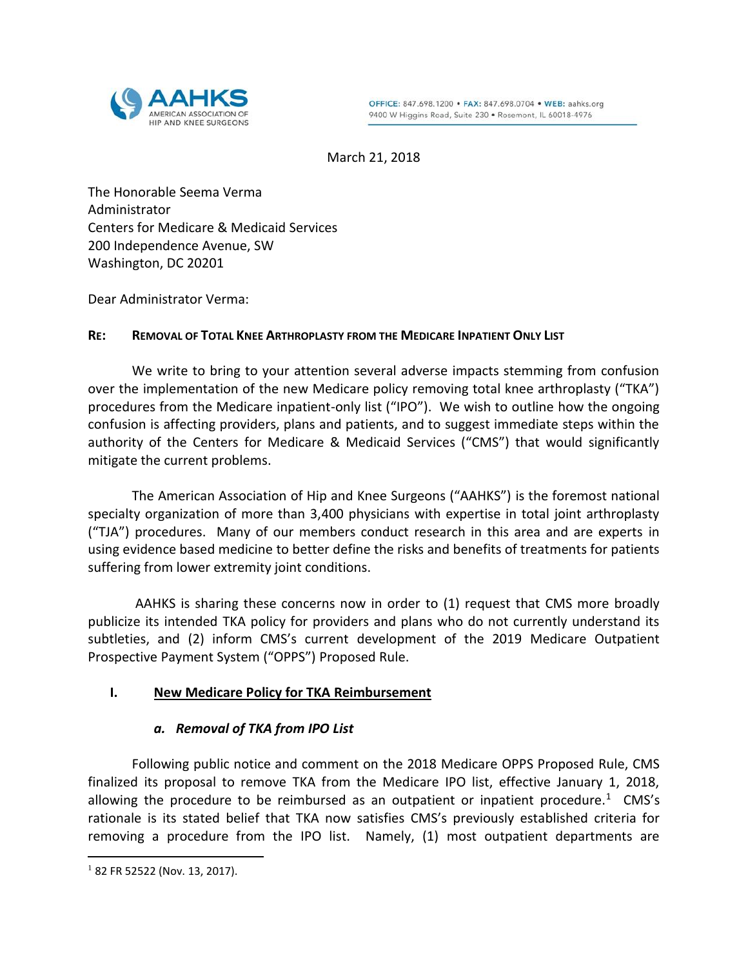

March 21, 2018

The Honorable Seema Verma Administrator Centers for Medicare & Medicaid Services 200 Independence Avenue, SW Washington, DC 20201

Dear Administrator Verma:

### **RE: REMOVAL OF TOTAL KNEE ARTHROPLASTY FROM THE MEDICARE INPATIENT ONLY LIST**

We write to bring to your attention several adverse impacts stemming from confusion over the implementation of the new Medicare policy removing total knee arthroplasty ("TKA") procedures from the Medicare inpatient-only list ("IPO"). We wish to outline how the ongoing confusion is affecting providers, plans and patients, and to suggest immediate steps within the authority of the Centers for Medicare & Medicaid Services ("CMS") that would significantly mitigate the current problems.

The American Association of Hip and Knee Surgeons ("AAHKS") is the foremost national specialty organization of more than 3,400 physicians with expertise in total joint arthroplasty ("TJA") procedures. Many of our members conduct research in this area and are experts in using evidence based medicine to better define the risks and benefits of treatments for patients suffering from lower extremity joint conditions.

AAHKS is sharing these concerns now in order to (1) request that CMS more broadly publicize its intended TKA policy for providers and plans who do not currently understand its subtleties, and (2) inform CMS's current development of the 2019 Medicare Outpatient Prospective Payment System ("OPPS") Proposed Rule.

## **I. New Medicare Policy for TKA Reimbursement**

## *a. Removal of TKA from IPO List*

Following public notice and comment on the 2018 Medicare OPPS Proposed Rule, CMS finalized its proposal to remove TKA from the Medicare IPO list, effective January 1, 2018, allowing the procedure to be reimbursed as an outpatient or inpatient procedure.<sup>1</sup> CMS's rationale is its stated belief that TKA now satisfies CMS's previously established criteria for removing a procedure from the IPO list. Namely, (1) most outpatient departments are

 $182$  FR 52522 (Nov. 13, 2017).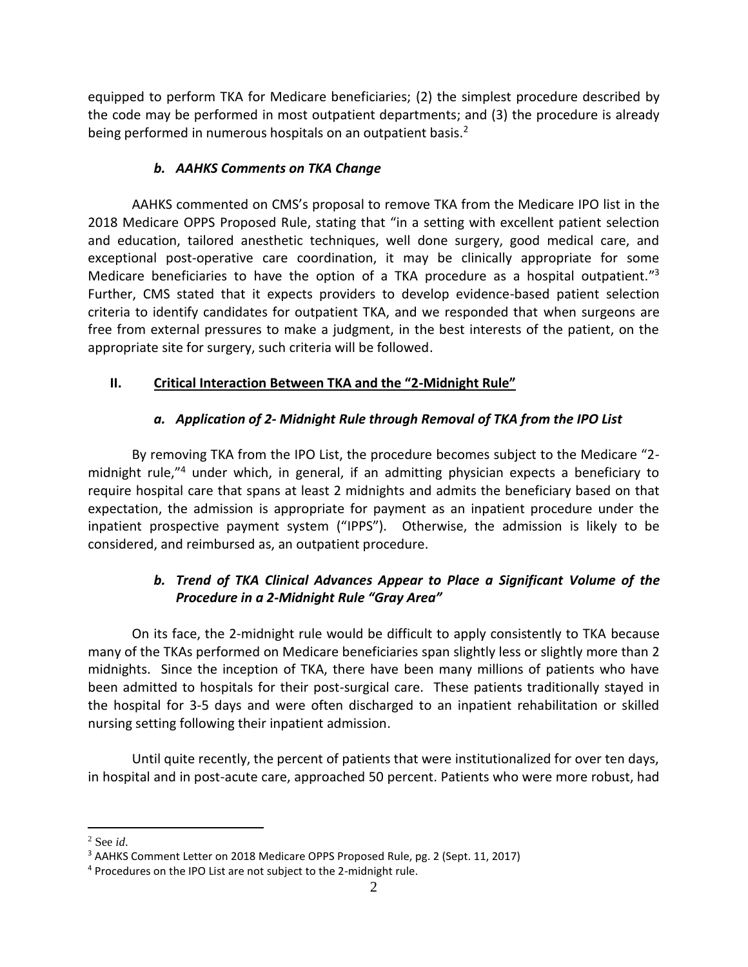equipped to perform TKA for Medicare beneficiaries; (2) the simplest procedure described by the code may be performed in most outpatient departments; and (3) the procedure is already being performed in numerous hospitals on an outpatient basis.<sup>2</sup>

# *b. AAHKS Comments on TKA Change*

AAHKS commented on CMS's proposal to remove TKA from the Medicare IPO list in the 2018 Medicare OPPS Proposed Rule, stating that "in a setting with excellent patient selection and education, tailored anesthetic techniques, well done surgery, good medical care, and exceptional post-operative care coordination, it may be clinically appropriate for some Medicare beneficiaries to have the option of a TKA procedure as a hospital outpatient."<sup>3</sup> Further, CMS stated that it expects providers to develop evidence-based patient selection criteria to identify candidates for outpatient TKA, and we responded that when surgeons are free from external pressures to make a judgment, in the best interests of the patient, on the appropriate site for surgery, such criteria will be followed.

# **II. Critical Interaction Between TKA and the "2-Midnight Rule"**

# *a. Application of 2- Midnight Rule through Removal of TKA from the IPO List*

By removing TKA from the IPO List, the procedure becomes subject to the Medicare "2 midnight rule,"<sup>4</sup> under which, in general, if an admitting physician expects a beneficiary to require hospital care that spans at least 2 midnights and admits the beneficiary based on that expectation, the admission is appropriate for payment as an inpatient procedure under the inpatient prospective payment system ("IPPS"). Otherwise, the admission is likely to be considered, and reimbursed as, an outpatient procedure.

# *b. Trend of TKA Clinical Advances Appear to Place a Significant Volume of the Procedure in a 2-Midnight Rule "Gray Area"*

On its face, the 2-midnight rule would be difficult to apply consistently to TKA because many of the TKAs performed on Medicare beneficiaries span slightly less or slightly more than 2 midnights. Since the inception of TKA, there have been many millions of patients who have been admitted to hospitals for their post-surgical care. These patients traditionally stayed in the hospital for 3-5 days and were often discharged to an inpatient rehabilitation or skilled nursing setting following their inpatient admission.

Until quite recently, the percent of patients that were institutionalized for over ten days, in hospital and in post-acute care, approached 50 percent. Patients who were more robust, had

<sup>2</sup> See *id*.

<sup>3</sup> AAHKS Comment Letter on 2018 Medicare OPPS Proposed Rule, pg. 2 (Sept. 11, 2017)

<sup>4</sup> Procedures on the IPO List are not subject to the 2-midnight rule.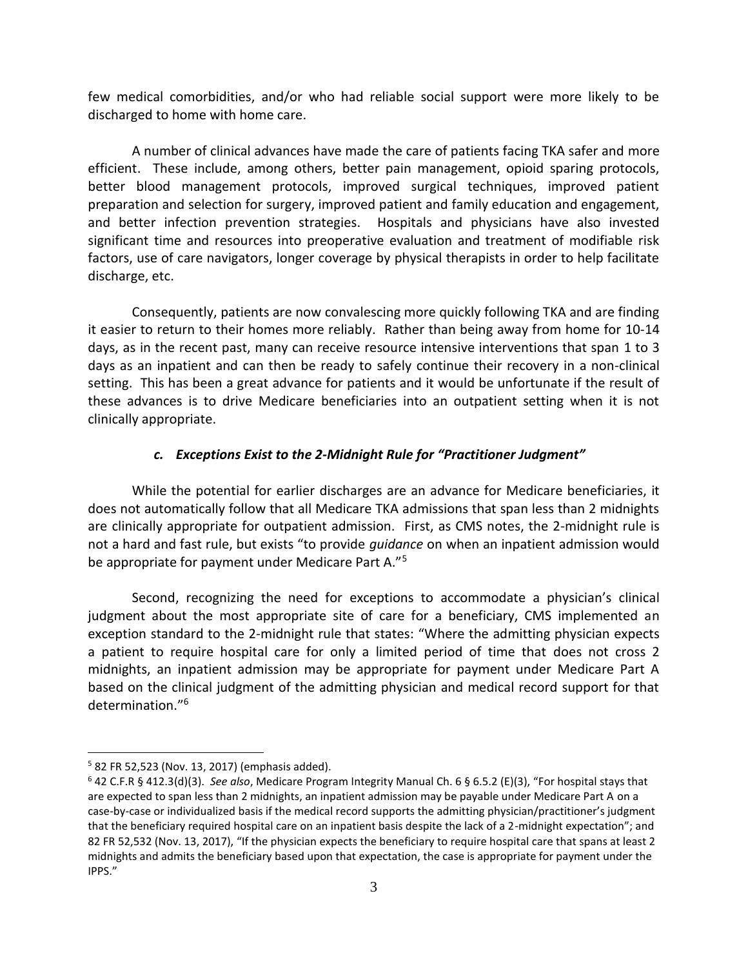few medical comorbidities, and/or who had reliable social support were more likely to be discharged to home with home care.

A number of clinical advances have made the care of patients facing TKA safer and more efficient. These include, among others, better pain management, opioid sparing protocols, better blood management protocols, improved surgical techniques, improved patient preparation and selection for surgery, improved patient and family education and engagement, and better infection prevention strategies. Hospitals and physicians have also invested significant time and resources into preoperative evaluation and treatment of modifiable risk factors, use of care navigators, longer coverage by physical therapists in order to help facilitate discharge, etc.

Consequently, patients are now convalescing more quickly following TKA and are finding it easier to return to their homes more reliably. Rather than being away from home for 10-14 days, as in the recent past, many can receive resource intensive interventions that span 1 to 3 days as an inpatient and can then be ready to safely continue their recovery in a non-clinical setting. This has been a great advance for patients and it would be unfortunate if the result of these advances is to drive Medicare beneficiaries into an outpatient setting when it is not clinically appropriate.

#### *c. Exceptions Exist to the 2-Midnight Rule for "Practitioner Judgment"*

While the potential for earlier discharges are an advance for Medicare beneficiaries, it does not automatically follow that all Medicare TKA admissions that span less than 2 midnights are clinically appropriate for outpatient admission. First, as CMS notes, the 2-midnight rule is not a hard and fast rule, but exists "to provide *guidance* on when an inpatient admission would be appropriate for payment under Medicare Part A."<sup>5</sup>

Second, recognizing the need for exceptions to accommodate a physician's clinical judgment about the most appropriate site of care for a beneficiary, CMS implemented an exception standard to the 2-midnight rule that states: "Where the admitting physician expects a patient to require hospital care for only a limited period of time that does not cross 2 midnights, an inpatient admission may be appropriate for payment under Medicare Part A based on the clinical judgment of the admitting physician and medical record support for that determination." 6

<sup>5</sup> 82 FR 52,523 (Nov. 13, 2017) (emphasis added).

<sup>6</sup> 42 C.F.R § 412.3(d)(3). *See also*, Medicare Program Integrity Manual Ch. 6 § 6.5.2 (E)(3), "For hospital stays that are expected to span less than 2 midnights, an inpatient admission may be payable under Medicare Part A on a case-by-case or individualized basis if the medical record supports the admitting physician/practitioner's judgment that the beneficiary required hospital care on an inpatient basis despite the lack of a 2-midnight expectation"; and 82 FR 52,532 (Nov. 13, 2017), "If the physician expects the beneficiary to require hospital care that spans at least 2 midnights and admits the beneficiary based upon that expectation, the case is appropriate for payment under the IPPS."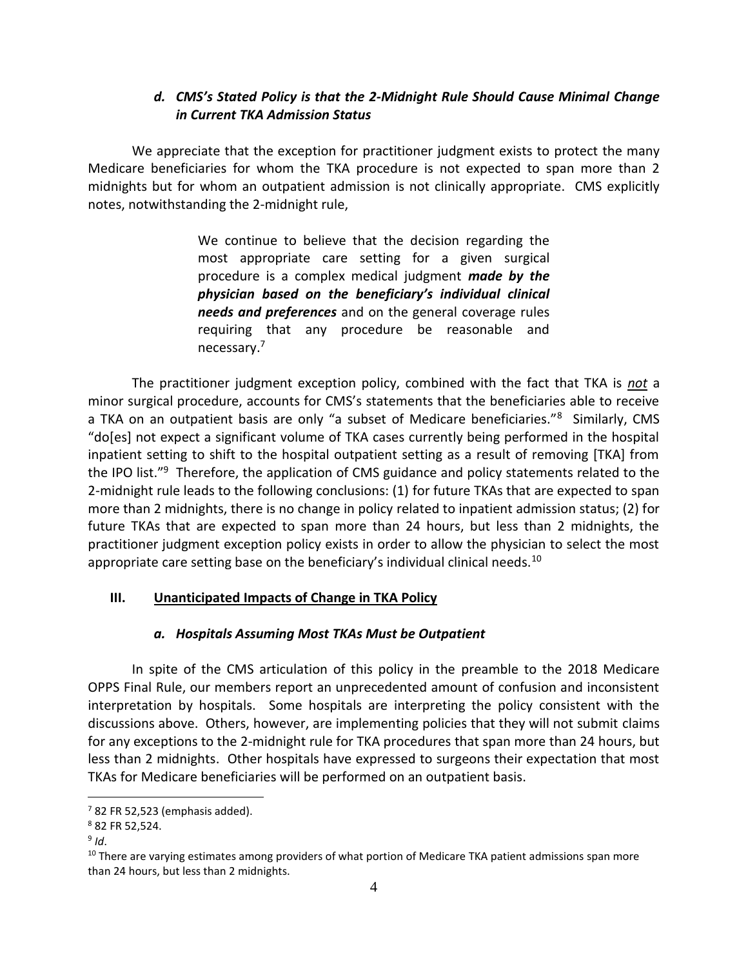## *d. CMS's Stated Policy is that the 2-Midnight Rule Should Cause Minimal Change in Current TKA Admission Status*

We appreciate that the exception for practitioner judgment exists to protect the many Medicare beneficiaries for whom the TKA procedure is not expected to span more than 2 midnights but for whom an outpatient admission is not clinically appropriate. CMS explicitly notes, notwithstanding the 2-midnight rule,

> We continue to believe that the decision regarding the most appropriate care setting for a given surgical procedure is a complex medical judgment *made by the physician based on the beneficiary's individual clinical needs and preferences* and on the general coverage rules requiring that any procedure be reasonable and necessary.<sup>7</sup>

The practitioner judgment exception policy, combined with the fact that TKA is *not* a minor surgical procedure, accounts for CMS's statements that the beneficiaries able to receive a TKA on an outpatient basis are only "a subset of Medicare beneficiaries."<sup>8</sup> Similarly, CMS "do[es] not expect a significant volume of TKA cases currently being performed in the hospital inpatient setting to shift to the hospital outpatient setting as a result of removing [TKA] from the IPO list."<sup>9</sup> Therefore, the application of CMS guidance and policy statements related to the 2-midnight rule leads to the following conclusions: (1) for future TKAs that are expected to span more than 2 midnights, there is no change in policy related to inpatient admission status; (2) for future TKAs that are expected to span more than 24 hours, but less than 2 midnights, the practitioner judgment exception policy exists in order to allow the physician to select the most appropriate care setting base on the beneficiary's individual clinical needs.<sup>10</sup>

### **III. Unanticipated Impacts of Change in TKA Policy**

### *a. Hospitals Assuming Most TKAs Must be Outpatient*

In spite of the CMS articulation of this policy in the preamble to the 2018 Medicare OPPS Final Rule, our members report an unprecedented amount of confusion and inconsistent interpretation by hospitals. Some hospitals are interpreting the policy consistent with the discussions above. Others, however, are implementing policies that they will not submit claims for any exceptions to the 2-midnight rule for TKA procedures that span more than 24 hours, but less than 2 midnights. Other hospitals have expressed to surgeons their expectation that most TKAs for Medicare beneficiaries will be performed on an outpatient basis.

 $7$  82 FR 52,523 (emphasis added).

<sup>8</sup> 82 FR 52,524.

<sup>9</sup> *Id*.

 $10$  There are varying estimates among providers of what portion of Medicare TKA patient admissions span more than 24 hours, but less than 2 midnights.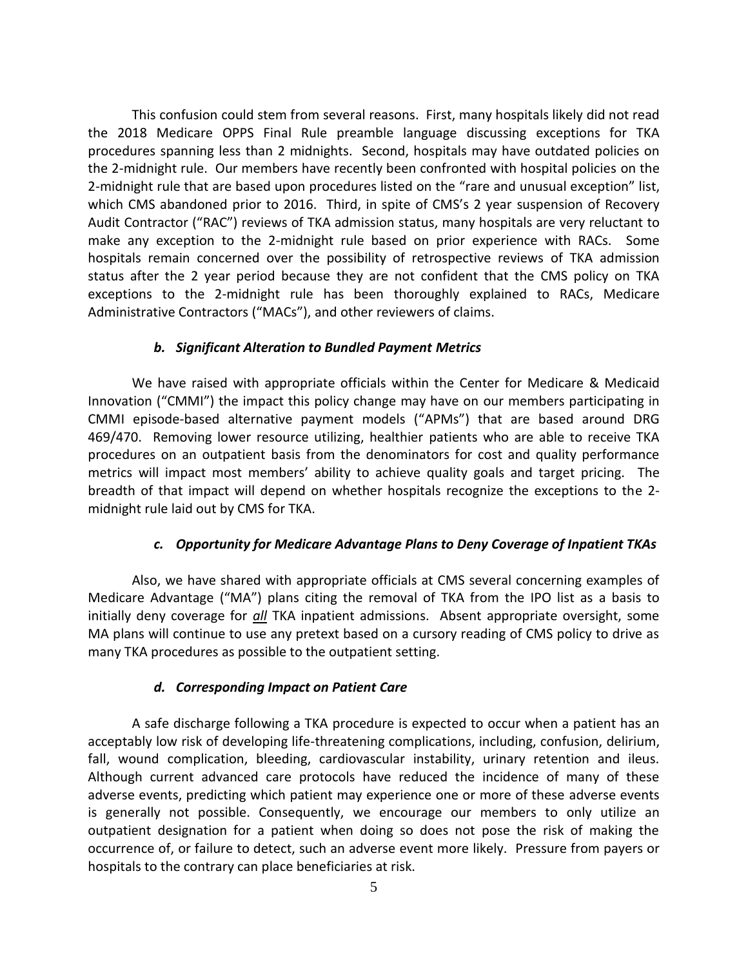This confusion could stem from several reasons. First, many hospitals likely did not read the 2018 Medicare OPPS Final Rule preamble language discussing exceptions for TKA procedures spanning less than 2 midnights. Second, hospitals may have outdated policies on the 2-midnight rule. Our members have recently been confronted with hospital policies on the 2-midnight rule that are based upon procedures listed on the "rare and unusual exception" list, which CMS abandoned prior to 2016. Third, in spite of CMS's 2 year suspension of Recovery Audit Contractor ("RAC") reviews of TKA admission status, many hospitals are very reluctant to make any exception to the 2-midnight rule based on prior experience with RACs. Some hospitals remain concerned over the possibility of retrospective reviews of TKA admission status after the 2 year period because they are not confident that the CMS policy on TKA exceptions to the 2-midnight rule has been thoroughly explained to RACs, Medicare Administrative Contractors ("MACs"), and other reviewers of claims.

#### *b. Significant Alteration to Bundled Payment Metrics*

We have raised with appropriate officials within the Center for Medicare & Medicaid Innovation ("CMMI") the impact this policy change may have on our members participating in CMMI episode-based alternative payment models ("APMs") that are based around DRG 469/470. Removing lower resource utilizing, healthier patients who are able to receive TKA procedures on an outpatient basis from the denominators for cost and quality performance metrics will impact most members' ability to achieve quality goals and target pricing. The breadth of that impact will depend on whether hospitals recognize the exceptions to the 2 midnight rule laid out by CMS for TKA.

### *c. Opportunity for Medicare Advantage Plans to Deny Coverage of Inpatient TKAs*

Also, we have shared with appropriate officials at CMS several concerning examples of Medicare Advantage ("MA") plans citing the removal of TKA from the IPO list as a basis to initially deny coverage for *all* TKA inpatient admissions. Absent appropriate oversight, some MA plans will continue to use any pretext based on a cursory reading of CMS policy to drive as many TKA procedures as possible to the outpatient setting.

#### *d. Corresponding Impact on Patient Care*

A safe discharge following a TKA procedure is expected to occur when a patient has an acceptably low risk of developing life-threatening complications, including, confusion, delirium, fall, wound complication, bleeding, cardiovascular instability, urinary retention and ileus. Although current advanced care protocols have reduced the incidence of many of these adverse events, predicting which patient may experience one or more of these adverse events is generally not possible. Consequently, we encourage our members to only utilize an outpatient designation for a patient when doing so does not pose the risk of making the occurrence of, or failure to detect, such an adverse event more likely. Pressure from payers or hospitals to the contrary can place beneficiaries at risk.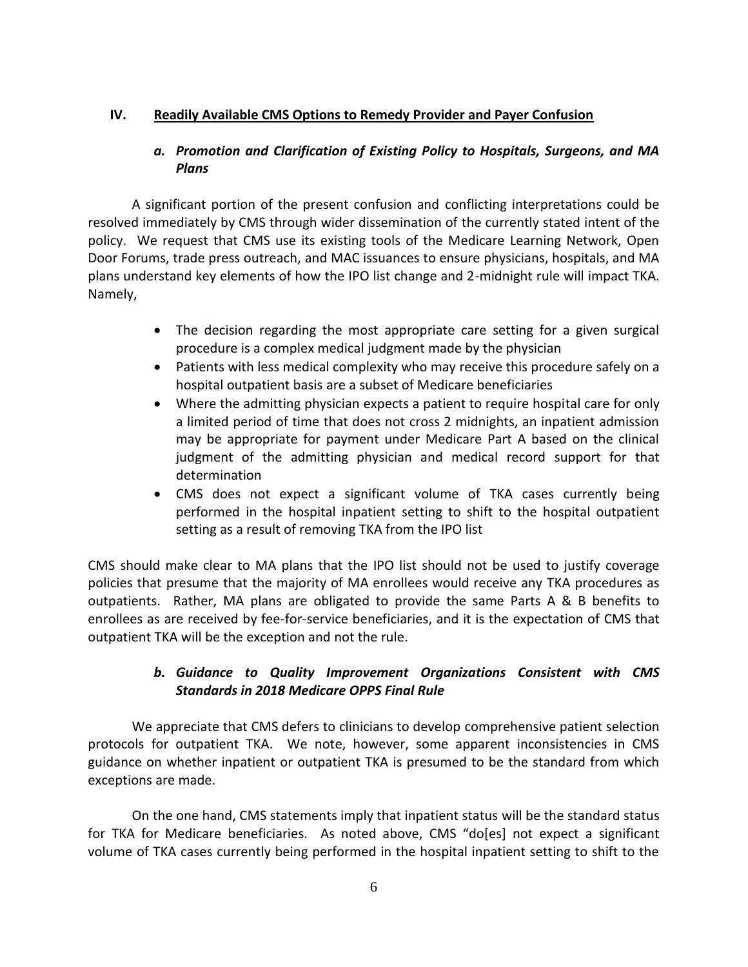### **IV. Readily Available CMS Options to Remedy Provider and Payer Confusion**

## *a. Promotion and Clarification of Existing Policy to Hospitals, Surgeons, and MA Plans*

A significant portion of the present confusion and conflicting interpretations could be resolved immediately by CMS through wider dissemination of the currently stated intent of the policy. We request that CMS use its existing tools of the Medicare Learning Network, Open Door Forums, trade press outreach, and MAC issuances to ensure physicians, hospitals, and MA plans understand key elements of how the IPO list change and 2-midnight rule will impact TKA. Namely,

- The decision regarding the most appropriate care setting for a given surgical procedure is a complex medical judgment made by the physician
- Patients with less medical complexity who may receive this procedure safely on a hospital outpatient basis are a subset of Medicare beneficiaries
- Where the admitting physician expects a patient to require hospital care for only a limited period of time that does not cross 2 midnights, an inpatient admission may be appropriate for payment under Medicare Part A based on the clinical judgment of the admitting physician and medical record support for that determination
- CMS does not expect a significant volume of TKA cases currently being performed in the hospital inpatient setting to shift to the hospital outpatient setting as a result of removing TKA from the IPO list

CMS should make clear to MA plans that the IPO list should not be used to justify coverage policies that presume that the majority of MA enrollees would receive any TKA procedures as outpatients. Rather, MA plans are obligated to provide the same Parts A & B benefits to enrollees as are received by fee-for-service beneficiaries, and it is the expectation of CMS that outpatient TKA will be the exception and not the rule.

# *b. Guidance to Quality Improvement Organizations Consistent with CMS Standards in 2018 Medicare OPPS Final Rule*

We appreciate that CMS defers to clinicians to develop comprehensive patient selection protocols for outpatient TKA. We note, however, some apparent inconsistencies in CMS guidance on whether inpatient or outpatient TKA is presumed to be the standard from which exceptions are made.

On the one hand, CMS statements imply that inpatient status will be the standard status for TKA for Medicare beneficiaries. As noted above, CMS "do[es] not expect a significant volume of TKA cases currently being performed in the hospital inpatient setting to shift to the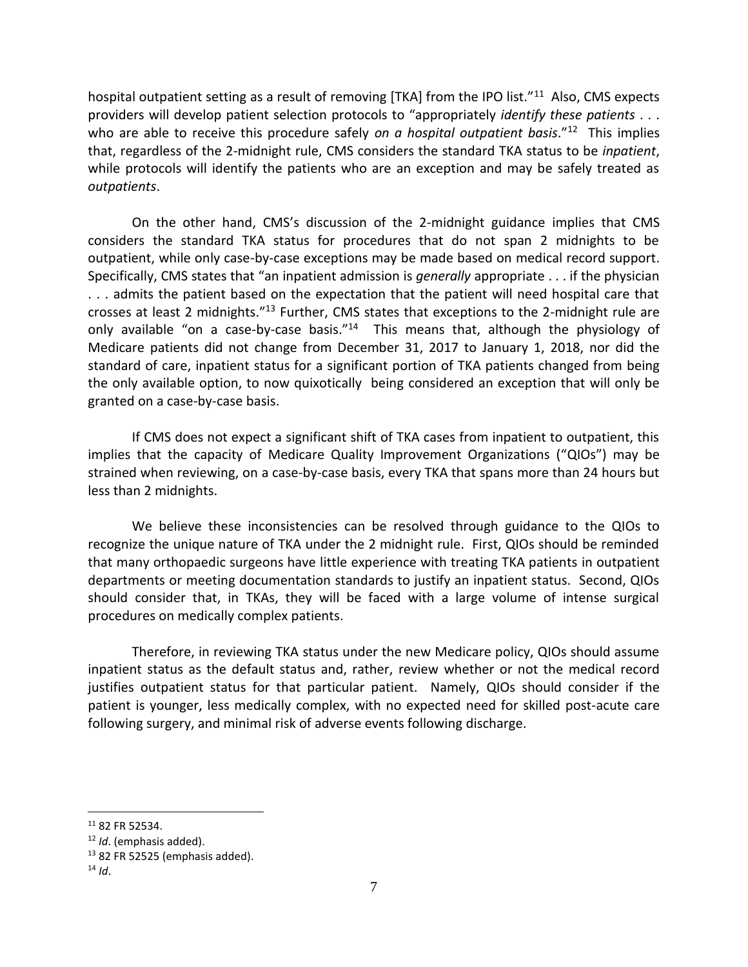hospital outpatient setting as a result of removing [TKA] from the IPO list."<sup>11</sup> Also, CMS expects providers will develop patient selection protocols to "appropriately *identify these patients* . . . who are able to receive this procedure safely *on a hospital outpatient basis*."<sup>12</sup> This implies that, regardless of the 2-midnight rule, CMS considers the standard TKA status to be *inpatient*, while protocols will identify the patients who are an exception and may be safely treated as *outpatients*.

On the other hand, CMS's discussion of the 2-midnight guidance implies that CMS considers the standard TKA status for procedures that do not span 2 midnights to be outpatient, while only case-by-case exceptions may be made based on medical record support. Specifically, CMS states that "an inpatient admission is *generally* appropriate . . . if the physician . . . admits the patient based on the expectation that the patient will need hospital care that crosses at least 2 midnights."<sup>13</sup> Further, CMS states that exceptions to the 2-midnight rule are only available "on a case-by-case basis."<sup>14</sup> This means that, although the physiology of Medicare patients did not change from December 31, 2017 to January 1, 2018, nor did the standard of care, inpatient status for a significant portion of TKA patients changed from being the only available option, to now quixotically being considered an exception that will only be granted on a case-by-case basis.

If CMS does not expect a significant shift of TKA cases from inpatient to outpatient, this implies that the capacity of Medicare Quality Improvement Organizations ("QIOs") may be strained when reviewing, on a case-by-case basis, every TKA that spans more than 24 hours but less than 2 midnights.

We believe these inconsistencies can be resolved through guidance to the QIOs to recognize the unique nature of TKA under the 2 midnight rule. First, QIOs should be reminded that many orthopaedic surgeons have little experience with treating TKA patients in outpatient departments or meeting documentation standards to justify an inpatient status. Second, QIOs should consider that, in TKAs, they will be faced with a large volume of intense surgical procedures on medically complex patients.

Therefore, in reviewing TKA status under the new Medicare policy, QIOs should assume inpatient status as the default status and, rather, review whether or not the medical record justifies outpatient status for that particular patient. Namely, QIOs should consider if the patient is younger, less medically complex, with no expected need for skilled post-acute care following surgery, and minimal risk of adverse events following discharge.

<sup>11</sup> 82 FR 52534.

<sup>12</sup> *Id*. (emphasis added).

 $13$  82 FR 52525 (emphasis added).

 $14$  *Id.*